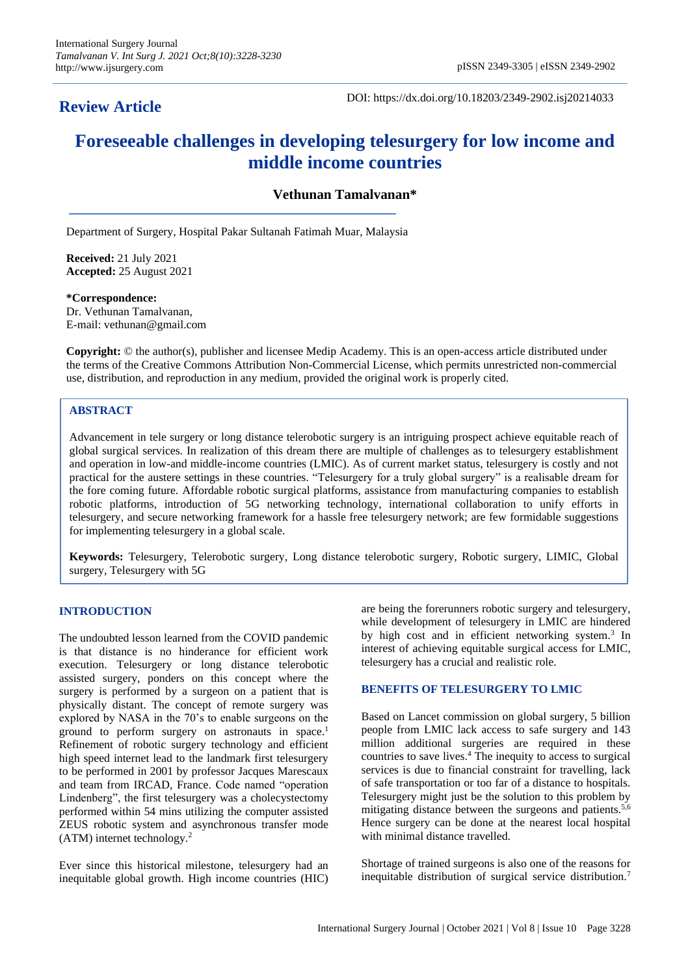# **Review Article**

DOI: https://dx.doi.org/10.18203/2349-2902.isj20214033

# **Foreseeable challenges in developing telesurgery for low income and middle income countries**

# **Vethunan Tamalvanan\***

Department of Surgery, Hospital Pakar Sultanah Fatimah Muar, Malaysia

**Received:** 21 July 2021 **Accepted:** 25 August 2021

**\*Correspondence:** Dr. Vethunan Tamalvanan, E-mail: vethunan@gmail.com

**Copyright:** © the author(s), publisher and licensee Medip Academy. This is an open-access article distributed under the terms of the Creative Commons Attribution Non-Commercial License, which permits unrestricted non-commercial use, distribution, and reproduction in any medium, provided the original work is properly cited.

# **ABSTRACT**

Advancement in tele surgery or long distance telerobotic surgery is an intriguing prospect achieve equitable reach of global surgical services. In realization of this dream there are multiple of challenges as to telesurgery establishment and operation in low-and middle-income countries (LMIC). As of current market status, telesurgery is costly and not practical for the austere settings in these countries. "Telesurgery for a truly global surgery" is a realisable dream for the fore coming future*.* Affordable robotic surgical platforms, assistance from manufacturing companies to establish robotic platforms, introduction of 5G networking technology, international collaboration to unify efforts in telesurgery, and secure networking framework for a hassle free telesurgery network; are few formidable suggestions for implementing telesurgery in a global scale.

**Keywords:** Telesurgery, Telerobotic surgery, Long distance telerobotic surgery, Robotic surgery, LIMIC, Global surgery, Telesurgery with 5G

### **INTRODUCTION**

The undoubted lesson learned from the COVID pandemic is that distance is no hinderance for efficient work execution. Telesurgery or long distance telerobotic assisted surgery, ponders on this concept where the surgery is performed by a surgeon on a patient that is physically distant. The concept of remote surgery was explored by NASA in the 70's to enable surgeons on the ground to perform surgery on astronauts in space.<sup>1</sup> Refinement of robotic surgery technology and efficient high speed internet lead to the landmark first telesurgery to be performed in 2001 by professor Jacques Marescaux and team from IRCAD, France. Code named "operation Lindenberg", the first telesurgery was a cholecystectomy performed within 54 mins utilizing the computer assisted ZEUS robotic system and asynchronous transfer mode (ATM) internet technology.<sup>2</sup>

Ever since this historical milestone, telesurgery had an inequitable global growth. High income countries (HIC) are being the forerunners robotic surgery and telesurgery, while development of telesurgery in LMIC are hindered by high cost and in efficient networking system.<sup>3</sup> In interest of achieving equitable surgical access for LMIC, telesurgery has a crucial and realistic role.

#### **BENEFITS OF TELESURGERY TO LMIC**

Based on Lancet commission on global surgery, 5 billion people from LMIC lack access to safe surgery and 143 million additional surgeries are required in these countries to save lives.<sup>4</sup> The inequity to access to surgical services is due to financial constraint for travelling, lack of safe transportation or too far of a distance to hospitals. Telesurgery might just be the solution to this problem by mitigating distance between the surgeons and patients.<sup>5,6</sup> Hence surgery can be done at the nearest local hospital with minimal distance travelled.

Shortage of trained surgeons is also one of the reasons for inequitable distribution of surgical service distribution.<sup>7</sup>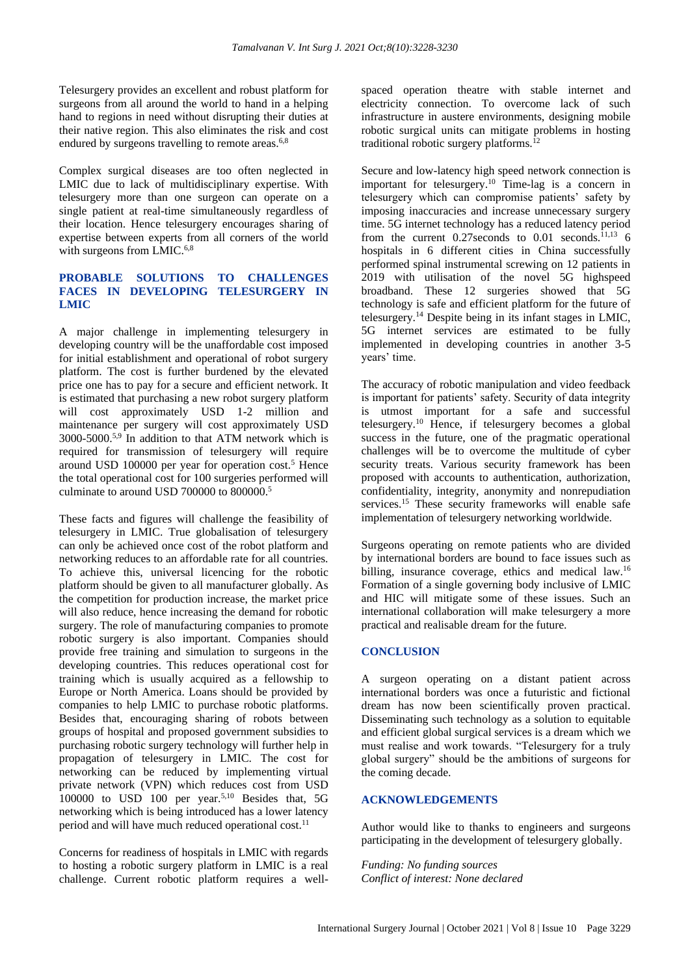Telesurgery provides an excellent and robust platform for surgeons from all around the world to hand in a helping hand to regions in need without disrupting their duties at their native region. This also eliminates the risk and cost endured by surgeons travelling to remote areas.<sup>6,8</sup>

Complex surgical diseases are too often neglected in LMIC due to lack of multidisciplinary expertise. With telesurgery more than one surgeon can operate on a single patient at real-time simultaneously regardless of their location. Hence telesurgery encourages sharing of expertise between experts from all corners of the world with surgeons from LMIC.<sup>6,8</sup>

## **PROBABLE SOLUTIONS TO CHALLENGES FACES IN DEVELOPING TELESURGERY IN LMIC**

A major challenge in implementing telesurgery in developing country will be the unaffordable cost imposed for initial establishment and operational of robot surgery platform. The cost is further burdened by the elevated price one has to pay for a secure and efficient network. It is estimated that purchasing a new robot surgery platform will cost approximately USD 1-2 million and maintenance per surgery will cost approximately USD 3000-5000.<sup>5,9</sup> In addition to that ATM network which is required for transmission of telesurgery will require around USD 100000 per year for operation cost.<sup>5</sup> Hence the total operational cost for 100 surgeries performed will culminate to around USD 700000 to 800000.<sup>5</sup>

These facts and figures will challenge the feasibility of telesurgery in LMIC. True globalisation of telesurgery can only be achieved once cost of the robot platform and networking reduces to an affordable rate for all countries. To achieve this, universal licencing for the robotic platform should be given to all manufacturer globally. As the competition for production increase, the market price will also reduce, hence increasing the demand for robotic surgery. The role of manufacturing companies to promote robotic surgery is also important. Companies should provide free training and simulation to surgeons in the developing countries. This reduces operational cost for training which is usually acquired as a fellowship to Europe or North America. Loans should be provided by companies to help LMIC to purchase robotic platforms. Besides that, encouraging sharing of robots between groups of hospital and proposed government subsidies to purchasing robotic surgery technology will further help in propagation of telesurgery in LMIC. The cost for networking can be reduced by implementing virtual private network (VPN) which reduces cost from USD  $100000$  to USD  $100$  per year.<sup>5,10</sup> Besides that, 5G networking which is being introduced has a lower latency period and will have much reduced operational cost.<sup>11</sup>

Concerns for readiness of hospitals in LMIC with regards to hosting a robotic surgery platform in LMIC is a real challenge. Current robotic platform requires a wellspaced operation theatre with stable internet and electricity connection. To overcome lack of such infrastructure in austere environments, designing mobile robotic surgical units can mitigate problems in hosting traditional robotic surgery platforms.<sup>1</sup>

Secure and low-latency high speed network connection is important for telesurgery.<sup>10</sup> Time-lag is a concern in telesurgery which can compromise patients' safety by imposing inaccuracies and increase unnecessary surgery time. 5G internet technology has a reduced latency period from the current 0.27 seconds to  $0.01$  seconds.<sup>11,13</sup> 6 hospitals in 6 different cities in China successfully performed spinal instrumental screwing on 12 patients in 2019 with utilisation of the novel 5G highspeed broadband. These 12 surgeries showed that 5G technology is safe and efficient platform for the future of telesurgery.<sup>14</sup> Despite being in its infant stages in LMIC, 5G internet services are estimated to be fully implemented in developing countries in another 3-5 years' time.

The accuracy of robotic manipulation and video feedback is important for patients' safety. Security of data integrity is utmost important for a safe and successful telesurgery.<sup>10</sup> Hence, if telesurgery becomes a global success in the future, one of the pragmatic operational challenges will be to overcome the multitude of cyber security treats. Various security framework has been proposed with accounts to authentication, authorization, confidentiality, integrity, anonymity and nonrepudiation services.<sup>15</sup> These security frameworks will enable safe implementation of telesurgery networking worldwide.

Surgeons operating on remote patients who are divided by international borders are bound to face issues such as billing, insurance coverage, ethics and medical law.<sup>16</sup> Formation of a single governing body inclusive of LMIC and HIC will mitigate some of these issues. Such an international collaboration will make telesurgery a more practical and realisable dream for the future.

#### **CONCLUSION**

A surgeon operating on a distant patient across international borders was once a futuristic and fictional dream has now been scientifically proven practical. Disseminating such technology as a solution to equitable and efficient global surgical services is a dream which we must realise and work towards. "Telesurgery for a truly global surgery" should be the ambitions of surgeons for the coming decade.

#### **ACKNOWLEDGEMENTS**

Author would like to thanks to engineers and surgeons participating in the development of telesurgery globally.

*Funding: No funding sources Conflict of interest: None declared*